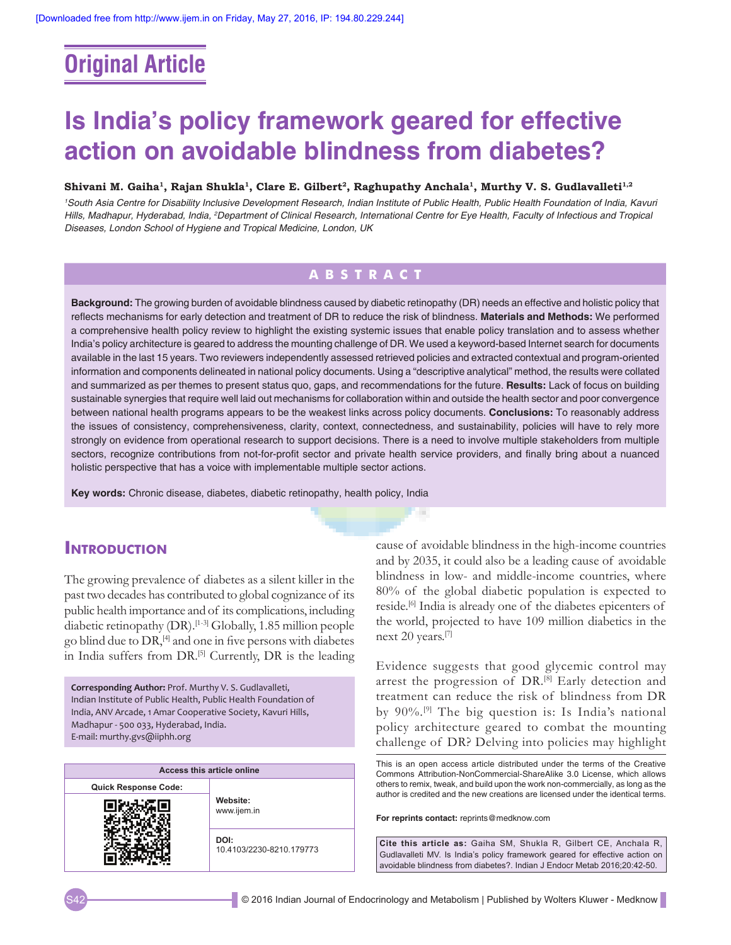# **Original Article**

# **Is India's policy framework geared for effective action on avoidable blindness from diabetes?**

#### Shivani M. Gaiha<sup>1</sup>, Rajan Shukla<sup>1</sup>, Clare E. Gilbert<sup>2</sup>, Raghupathy Anchala<sup>1</sup>, Murthy V. S. Gudlavalleti<sup>1,2</sup>

*1 South Asia Centre for Disability Inclusive Development Research, Indian Institute of Public Health, Public Health Foundation of India, Kavuri*  Hills, Madhapur, Hyderabad, India, <sup>2</sup>Department of Clinical Research, International Centre for Eye Health, Faculty of Infectious and Tropical *Diseases, London School of Hygiene and Tropical Medicine, London, UK*

# **ABSTRACT**

**Background:** The growing burden of avoidable blindness caused by diabetic retinopathy (DR) needs an effective and holistic policy that reflects mechanisms for early detection and treatment of DR to reduce the risk of blindness. **Materials and Methods:** We performed a comprehensive health policy review to highlight the existing systemic issues that enable policy translation and to assess whether India's policy architecture is geared to address the mounting challenge of DR. We used a keyword-based Internet search for documents available in the last 15 years. Two reviewers independently assessed retrieved policies and extracted contextual and program‑oriented information and components delineated in national policy documents. Using a "descriptive analytical" method, the results were collated and summarized as per themes to present status quo, gaps, and recommendations for the future. **Results:** Lack of focus on building sustainable synergies that require well laid out mechanisms for collaboration within and outside the health sector and poor convergence between national health programs appears to be the weakest links across policy documents. **Conclusions:** To reasonably address the issues of consistency, comprehensiveness, clarity, context, connectedness, and sustainability, policies will have to rely more strongly on evidence from operational research to support decisions. There is a need to involve multiple stakeholders from multiple sectors, recognize contributions from not-for-profit sector and private health service providers, and finally bring about a nuanced holistic perspective that has a voice with implementable multiple sector actions.

**Key words:** Chronic disease, diabetes, diabetic retinopathy, health policy, India

## **Introduction**

The growing prevalence of diabetes as a silent killer in the past two decades has contributed to global cognizance of its public health importance and of its complications, including diabetic retinopathy (DR).[1-3] Globally, 1.85 million people go blind due to  $DR<sub>1</sub><sup>[4]</sup>$  and one in five persons with diabetes in India suffers from DR.<sup>[5]</sup> Currently, DR is the leading

**Corresponding Author:** Prof. Murthy V. S. Gudlavalleti, Indian Institute of Public Health, Public Health Foundation of India, ANV Arcade, 1 Amar Cooperative Society, Kavuri Hills, Madhapur - 500 033, Hyderabad, India. E-mail: murthy.gvs@iiphh.org

| Access this article online  |                                  |  |
|-----------------------------|----------------------------------|--|
| <b>Quick Response Code:</b> | Website:<br>www.ijem.in          |  |
|                             |                                  |  |
|                             | DOI:<br>10.4103/2230-8210.179773 |  |

cause of avoidable blindness in the high-income countries and by 2035, it could also be a leading cause of avoidable blindness in low- and middle-income countries, where 80% of the global diabetic population is expected to reside.[6] India is already one of the diabetes epicenters of the world, projected to have 109 million diabetics in the next 20 years.[7]

Evidence suggests that good glycemic control may arrest the progression of DR.<sup>[8]</sup> Early detection and treatment can reduce the risk of blindness from DR by 90%.[9] The big question is: Is India's national policy architecture geared to combat the mounting challenge of DR? Delving into policies may highlight

This is an open access article distributed under the terms of the Creative Commons Attribution‑NonCommercial‑ShareAlike 3.0 License, which allows others to remix, tweak, and build upon the work non‑commercially, as long as the author is credited and the new creations are licensed under the identical terms.

**For reprints contact:** reprints@medknow.com

**Cite this article as:** Gaiha SM, Shukla R, Gilbert CE, Anchala R, Gudlavalleti MV. Is India's policy framework geared for effective action on avoidable blindness from diabetes?. Indian J Endocr Metab 2016;20:42-50.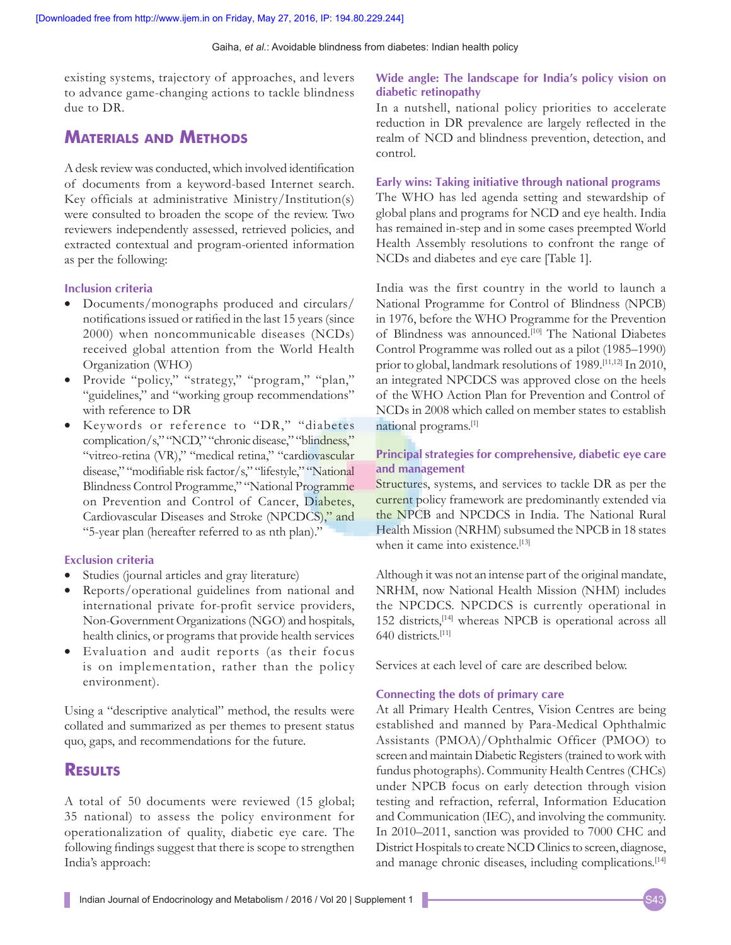existing systems, trajectory of approaches, and levers to advance game-changing actions to tackle blindness due to DR.

# **Materials and Methods**

A desk review was conducted, which involved identification of documents from a keyword-based Internet search. Key officials at administrative Ministry/Institution(s) were consulted to broaden the scope of the review. Two reviewers independently assessed, retrieved policies, and extracted contextual and program-oriented information as per the following:

### **Inclusion criteria**

- Documents/monographs produced and circulars/ notifications issued or ratified in the last 15 years (since 2000) when noncommunicable diseases (NCDs) received global attention from the World Health Organization (WHO)
- Provide "policy," "strategy," "program," "plan," "guidelines," and "working group recommendations" with reference to DR
- Keywords or reference to "DR," "diabetes complication/s," "NCD," "chronic disease," "blindness," "vitreo-retina (VR)," "medical retina," "cardiovascular disease," "modifiable risk factor/s," "lifestyle," "National Blindness Control Programme," "National Programme on Prevention and Control of Cancer, Diabetes, Cardiovascular Diseases and Stroke (NPCDCS)," and "5-year plan (hereafter referred to as nth plan)."

#### **Exclusion criteria**

- Studies (journal articles and gray literature)
- Reports/operational guidelines from national and international private for-profit service providers, Non-Government Organizations(NGO) and hospitals, health clinics, or programs that provide health services
- Evaluation and audit reports (as their focus is on implementation, rather than the policy environment).

Using a "descriptive analytical" method, the results were collated and summarized as per themes to present status quo, gaps, and recommendations for the future.

## **Results**

A total of 50 documents were reviewed (15 global; 35 national) to assess the policy environment for operationalization of quality, diabetic eye care. The following findings suggest that there is scope to strengthen India's approach:

### **Wide angle: The landscape for India's policy vision on diabetic retinopathy**

In a nutshell, national policy priorities to accelerate reduction in DR prevalence are largely reflected in the realm of NCD and blindness prevention, detection, and control.

#### **Early wins: Taking initiative through national programs**

The WHO has led agenda setting and stewardship of global plans and programs for NCD and eye health. India has remained in-step and in some cases preempted World Health Assembly resolutions to confront the range of NCDs and diabetes and eye care [Table 1].

India was the first country in the world to launch a National Programme for Control of Blindness (NPCB) in 1976, before the WHO Programme for the Prevention of Blindness was announced.[10] The National Diabetes Control Programme was rolled out as a pilot (1985–1990) prior to global, landmark resolutions of 1989.[11,12] In 2010, an integrated NPCDCS was approved close on the heels of the WHO Action Plan for Prevention and Control of NCDs in 2008 which called on member states to establish national programs.[1]

## **Principal strategies for comprehensive, diabetic eye care and management**

Structures, systems, and services to tackle DR as per the current policy framework are predominantly extended via the NPCB and NPCDCS in India. The National Rural Health Mission (NRHM) subsumed the NPCB in 18 states when it came into existence.<sup>[13]</sup>

Although it was not an intense part of the original mandate, NRHM, now National Health Mission (NHM) includes the NPCDCS. NPCDCS is currently operational in 152 districts,[14] whereas NPCB is operational across all 640 districts.[11]

Services at each level of care are described below.

#### **Connecting the dots of primary care**

At all Primary Health Centres, Vision Centres are being established and manned by Para-Medical Ophthalmic Assistants (PMOA)/Ophthalmic Officer (PMOO) to screen and maintain Diabetic Registers (trained to work with fundus photographs). Community Health Centres (CHCs) under NPCB focus on early detection through vision testing and refraction, referral, Information Education and Communication (IEC), and involving the community. In 2010–2011, sanction was provided to 7000 CHC and District Hospitals to create NCD Clinics to screen, diagnose, and manage chronic diseases, including complications.<sup>[14]</sup>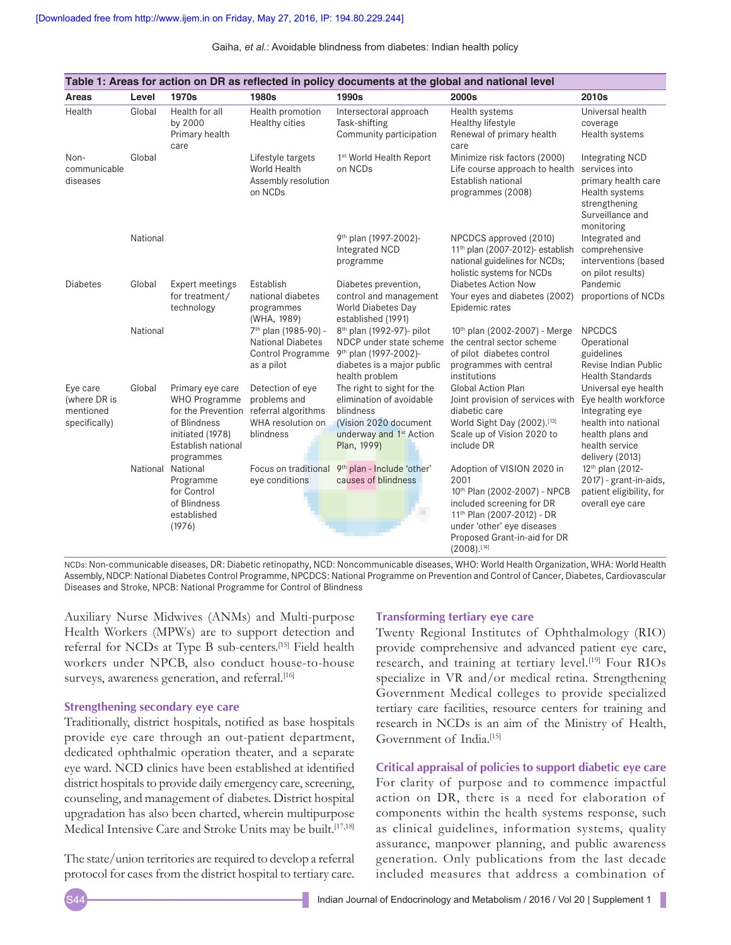|                                                        |          |                                                                                                                  |                                                                                                              | Table 1: Areas for action on DR as reflected in policy documents at the global and national level                                                  |                                                                                                                                                                                                                           |                                                                                                                                                  |
|--------------------------------------------------------|----------|------------------------------------------------------------------------------------------------------------------|--------------------------------------------------------------------------------------------------------------|----------------------------------------------------------------------------------------------------------------------------------------------------|---------------------------------------------------------------------------------------------------------------------------------------------------------------------------------------------------------------------------|--------------------------------------------------------------------------------------------------------------------------------------------------|
| Areas                                                  | Level    | 1970s                                                                                                            | 1980s                                                                                                        | 1990s                                                                                                                                              | 2000s                                                                                                                                                                                                                     | 2010s                                                                                                                                            |
| Health                                                 | Global   | Health for all<br>by 2000<br>Primary health<br>care                                                              | Health promotion<br><b>Healthy cities</b>                                                                    | Intersectoral approach<br>Task-shifting<br>Community participation                                                                                 | Health systems<br>Healthy lifestyle<br>Renewal of primary health<br>care                                                                                                                                                  | Universal health<br>coverage<br>Health systems                                                                                                   |
| Non-<br>communicable<br>diseases                       | Global   |                                                                                                                  | Lifestyle targets<br>World Health<br>Assembly resolution<br>on NCDs                                          | 1st World Health Report<br>on NCDs                                                                                                                 | Minimize risk factors (2000)<br>Life course approach to health<br>Establish national<br>programmes (2008)                                                                                                                 | <b>Integrating NCD</b><br>services into<br>primary health care<br>Health systems<br>strengthening<br>Surveillance and<br>monitoring              |
|                                                        | National |                                                                                                                  |                                                                                                              | 9 <sup>th</sup> plan (1997-2002)-<br>Integrated NCD<br>programme                                                                                   | NPCDCS approved (2010)<br>11 <sup>th</sup> plan (2007-2012)- establish<br>national guidelines for NCDs;<br>holistic systems for NCDs                                                                                      | Integrated and<br>comprehensive<br>interventions (based<br>on pilot results)                                                                     |
| <b>Diabetes</b>                                        | Global   | <b>Expert meetings</b><br>for treatment/<br>technology                                                           | Establish<br>national diabetes<br>programmes<br>(WHA, 1989)                                                  | Diabetes prevention,<br>control and management<br>World Diabetes Day<br>established (1991)                                                         | <b>Diabetes Action Now</b><br>Your eyes and diabetes (2002)<br>Epidemic rates                                                                                                                                             | Pandemic<br>proportions of NCDs                                                                                                                  |
|                                                        | National |                                                                                                                  | 7 <sup>th</sup> plan (1985-90) -<br><b>National Diabetes</b><br><b>Control Programme</b><br>as a pilot       | 8 <sup>th</sup> plan (1992-97)- pilot<br>NDCP under state scheme<br>9th plan (1997-2002)-<br>diabetes is a major public<br>health problem          | 10th plan (2002-2007) - Merge<br>the central sector scheme<br>of pilot diabetes control<br>programmes with central<br>institutions                                                                                        | <b>NPCDCS</b><br>Operational<br>guidelines<br>Revise Indian Public<br><b>Health Standards</b>                                                    |
| Eye care<br>(where DR is<br>mentioned<br>specifically) | Global   | Primary eye care<br><b>WHO Programme</b><br>of Blindness<br>initiated (1978)<br>Establish national<br>programmes | Detection of eye<br>problems and<br>for the Prevention referral algorithms<br>WHA resolution on<br>blindness | The right to sight for the<br>elimination of avoidable<br>blindness<br>(Vision 2020 document<br>underway and 1 <sup>st</sup> Action<br>Plan, 1999) | <b>Global Action Plan</b><br>Joint provision of services with<br>diabetic care<br>World Sight Day (2002).[13]<br>Scale up of Vision 2020 to<br>include DR                                                                 | Universal eye health<br>Eye health workforce<br>Integrating eye<br>health into national<br>health plans and<br>health service<br>delivery (2013) |
|                                                        |          | National National<br>Programme<br>for Control<br>of Blindness<br>established<br>(1976)                           | Focus on traditional<br>eye conditions                                                                       | 9th plan - Include 'other'<br>causes of blindness<br>a.                                                                                            | Adoption of VISION 2020 in<br>2001<br>10th Plan (2002-2007) - NPCB<br>included screening for DR<br>11 <sup>th</sup> Plan (2007-2012) - DR<br>under 'other' eye diseases<br>Proposed Grant-in-aid for DR<br>$(2008).$ [14] | 12 <sup>th</sup> plan (2012-<br>2017) - grant-in-aids,<br>patient eligibility, for<br>overall eye care                                           |

NCDs: Non-communicable diseases, DR: Diabetic retinopathy, NCD: Noncommunicable diseases, WHO: World Health Organization, WHA: World Health Assembly, NDCP: National Diabetes Control Programme, NPCDCS: National Programme on Prevention and Control of Cancer, Diabetes, Cardiovascular Diseases and Stroke, NPCB: National Programme for Control of Blindness

Auxiliary Nurse Midwives (ANMs) and Multi-purpose Health Workers (MPWs) are to support detection and referral for NCDs at Type B sub-centers.[15] Field health workers under NPCB, also conduct house-to-house surveys, awareness generation, and referral.<sup>[16]</sup>

#### **Strengthening secondary eye care**

Traditionally, district hospitals, notified as base hospitals provide eye care through an out-patient department, dedicated ophthalmic operation theater, and a separate eye ward. NCD clinics have been established at identified district hospitals to provide daily emergency care, screening, counseling, and management of diabetes. District hospital upgradation has also been charted, wherein multipurpose Medical Intensive Care and Stroke Units may be built.<sup>[17,18]</sup>

The state/union territories are required to develop a referral protocol for cases from the district hospital to tertiary care.

#### **Transforming tertiary eye care**

Twenty Regional Institutes of Ophthalmology (RIO) provide comprehensive and advanced patient eye care, research, and training at tertiary level.<sup>[19]</sup> Four RIOs specialize in VR and/or medical retina. Strengthening Government Medical colleges to provide specialized tertiary care facilities, resource centers for training and research in NCDs is an aim of the Ministry of Health, Government of India.[15]

**Critical appraisal of policies to support diabetic eye care** For clarity of purpose and to commence impactful action on DR, there is a need for elaboration of components within the health systems response, such as clinical guidelines, information systems, quality assurance, manpower planning, and public awareness generation. Only publications from the last decade included measures that address a combination of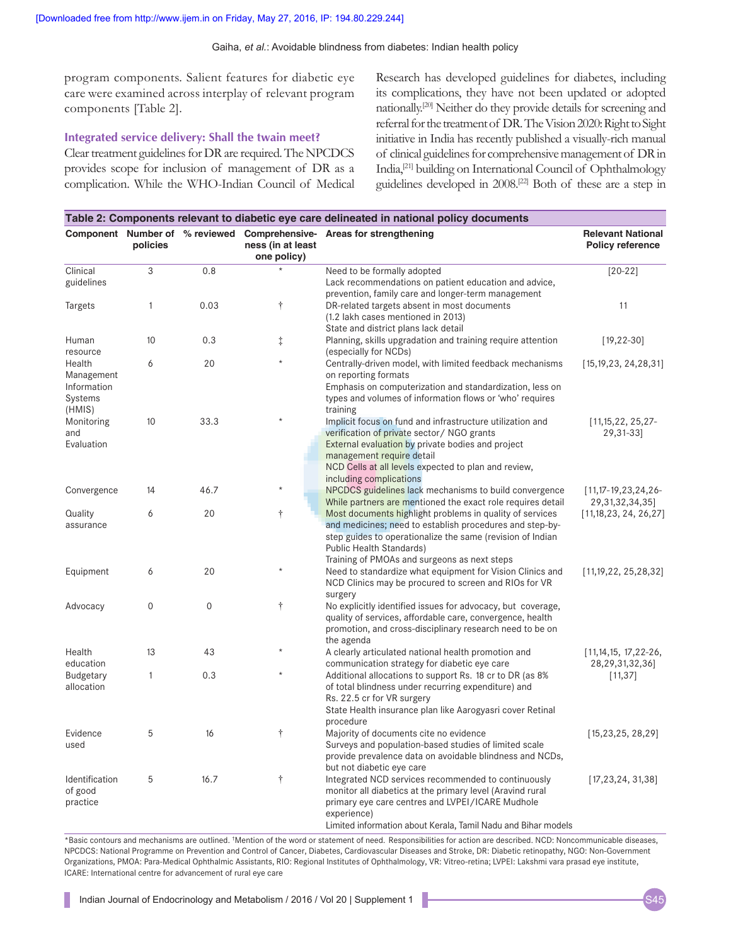program components. Salient features for diabetic eye care were examined across interplay of relevant program components [Table 2].

#### **Integrated service delivery: Shall the twain meet?**

Clear treatment guidelines for DR are required. The NPCDCS provides scope for inclusion of management of DR as a complication. While the WHO-Indian Council of Medical Research has developed guidelines for diabetes, including its complications, they have not been updated or adopted nationally.[20] Neither do they provide details for screening and referral for the treatment of DR. The Vision 2020: Right to Sight initiative in India has recently published a visually-rich manual of clinical guidelines for comprehensive management of DR in India,[21] building on International Council of Ophthalmology guidelines developed in 2008.[22] Both of these are a step in

|                                                | policies     |                  | ness (in at least<br>one policy) | Component Number of % reviewed Comprehensive- Areas for strengthening                                                                                                                                                                                          | <b>Relevant National</b><br><b>Policy reference</b> |
|------------------------------------------------|--------------|------------------|----------------------------------|----------------------------------------------------------------------------------------------------------------------------------------------------------------------------------------------------------------------------------------------------------------|-----------------------------------------------------|
| Clinical<br>guidelines                         | 3            | 0.8              | $\star$                          | Need to be formally adopted<br>Lack recommendations on patient education and advice,                                                                                                                                                                           | $[20-22]$                                           |
| Targets                                        | 1            | 0.03             | $\dagger$                        | prevention, family care and longer-term management<br>DR-related targets absent in most documents<br>(1.2 lakh cases mentioned in 2013)                                                                                                                        | 11                                                  |
| Human<br>resource                              | 10           | 0.3              | $\ddagger$                       | State and district plans lack detail<br>Planning, skills upgradation and training require attention<br>(especially for NCDs)                                                                                                                                   | $[19, 22 - 30]$                                     |
| Health<br>Management<br>Information<br>Systems | 6            | 20               | $\star$                          | Centrally-driven model, with limited feedback mechanisms<br>on reporting formats<br>Emphasis on computerization and standardization, less on<br>types and volumes of information flows or 'who' requires                                                       | [15, 19, 23, 24, 28, 31]                            |
| (HMIS)<br>Monitoring<br>and<br>Evaluation      | 10           | 33.3             | $\star$                          | training<br>Implicit focus on fund and infrastructure utilization and<br>verification of private sector / NGO grants<br>External evaluation by private bodies and project<br>management require detail<br>NCD Cells at all levels expected to plan and review, | [11, 15, 22, 25, 27]<br>29,31-33]                   |
| Convergence                                    | 14           | 46.7             | $\star$                          | including complications<br>NPCDCS guidelines lack mechanisms to build convergence<br>While partners are mentioned the exact role requires detail                                                                                                               | $[11, 17 - 19, 23, 24, 26 -$<br>29, 31, 32, 34, 35] |
| Quality<br>assurance                           | 6            | 20               | $\dagger$                        | Most documents highlight problems in quality of services<br>and medicines; need to establish procedures and step-by-<br>step guides to operationalize the same (revision of Indian<br>Public Health Standards)                                                 | [11, 18, 23, 24, 26, 27]                            |
| Equipment                                      | 6            | 20               | $\star$                          | Training of PMOAs and surgeons as next steps<br>Need to standardize what equipment for Vision Clinics and<br>NCD Clinics may be procured to screen and RIOs for VR                                                                                             | [11, 19, 22, 25, 28, 32]                            |
| Advocacy                                       | 0            | $\boldsymbol{0}$ | $\dagger$                        | surgery<br>No explicitly identified issues for advocacy, but coverage,<br>quality of services, affordable care, convergence, health<br>promotion, and cross-disciplinary research need to be on<br>the agenda                                                  |                                                     |
| Health<br>education                            | 13           | 43               | $\star$                          | A clearly articulated national health promotion and<br>communication strategy for diabetic eye care                                                                                                                                                            | $[11, 14, 15, 17, 22 - 26,$<br>28,29,31,32,36]      |
| <b>Budgetary</b><br>allocation                 | $\mathbf{1}$ | 0.3              | $\star$                          | Additional allocations to support Rs. 18 cr to DR (as 8%<br>of total blindness under recurring expenditure) and<br>Rs. 22.5 cr for VR surgery<br>State Health insurance plan like Aarogyasri cover Retinal<br>procedure                                        | [11, 37]                                            |
| Evidence<br>used                               | 5            | 16               | $\dagger$                        | Majority of documents cite no evidence<br>Surveys and population-based studies of limited scale<br>provide prevalence data on avoidable blindness and NCDs,<br>but not diabetic eye care                                                                       | [15, 23, 25, 28, 29]                                |
| Identification<br>of good<br>practice          | 5            | 16.7             | $\dagger$                        | Integrated NCD services recommended to continuously<br>monitor all diabetics at the primary level (Aravind rural<br>primary eye care centres and LVPEI/ICARE Mudhole<br>experience)<br>Limited information about Kerala. Tamil Nadu and Bihar models           | [17, 23, 24, 31, 38]                                |

\*Basic contours and mechanisms are outlined. † Mention of the word or statement of need. Responsibilities for action are described. NCD: Noncommunicable diseases, NPCDCS: National Programme on Prevention and Control of Cancer, Diabetes, Cardiovascular Diseases and Stroke, DR: Diabetic retinopathy, NGO: Non-Government Organizations, PMOA: Para-Medical Ophthalmic Assistants, RIO: Regional Institutes of Ophthalmology, VR: Vitreo-retina; LVPEI: Lakshmi vara prasad eye institute, ICARE: International centre for advancement of rural eye care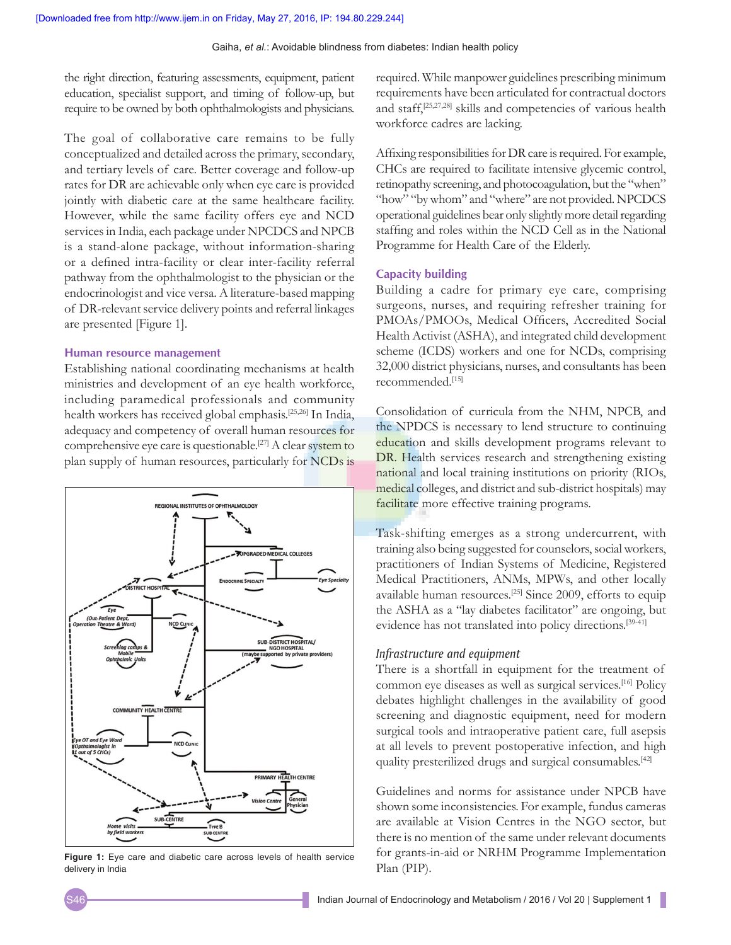the right direction, featuring assessments, equipment, patient education, specialist support, and timing of follow-up, but require to be owned by both ophthalmologists and physicians.

The goal of collaborative care remains to be fully conceptualized and detailed across the primary, secondary, and tertiary levels of care. Better coverage and follow-up rates for DR are achievable only when eye care is provided jointly with diabetic care at the same healthcare facility. However, while the same facility offers eye and NCD services in India, each package under NPCDCS and NPCB is a stand-alone package, without information-sharing or a defined intra-facility or clear inter-facility referral pathway from the ophthalmologist to the physician or the endocrinologist and vice versa. A literature-based mapping of DR-relevant service delivery points and referral linkages are presented [Figure 1].

#### **Human resource management**

Establishing national coordinating mechanisms at health ministries and development of an eye health workforce, including paramedical professionals and community health workers has received global emphasis.[25,26] In India, adequacy and competency of overall human resources for comprehensive eye care is questionable.<sup>[27]</sup> A clear system to plan supply of human resources, particularly for NCDs is



**Figure 1:** Eye care and diabetic care across levels of health service delivery in India

required. While manpower guidelines prescribing minimum requirements have been articulated for contractual doctors and staff,[25,27,28] skills and competencies of various health workforce cadres are lacking.

Affixing responsibilities for DR care is required. For example, CHCs are required to facilitate intensive glycemic control, retinopathy screening, and photocoagulation, but the "when" "how" "by whom" and "where" are not provided. NPCDCS operational guidelines bear only slightly more detail regarding staffing and roles within the NCD Cell as in the National Programme for Health Care of the Elderly.

#### **Capacity building**

Building a cadre for primary eye care, comprising surgeons, nurses, and requiring refresher training for PMOAs/PMOOs, Medical Officers, Accredited Social Health Activist (ASHA), and integrated child development scheme (ICDS) workers and one for NCDs, comprising 32,000 district physicians, nurses, and consultants has been recommended.[15]

Consolidation of curricula from the NHM, NPCB, and the NPDCS is necessary to lend structure to continuing education and skills development programs relevant to DR. Health services research and strengthening existing national and local training institutions on priority (RIOs, medical colleges, and district and sub-district hospitals) may facilitate more effective training programs.

Task-shifting emerges as a strong undercurrent, with training also being suggested for counselors, social workers, practitioners of Indian Systems of Medicine, Registered Medical Practitioners, ANMs, MPWs, and other locally available human resources.[25] Since 2009, efforts to equip the ASHA as a "lay diabetes facilitator" are ongoing, but evidence has not translated into policy directions.[39-41]

#### *Infrastructure and equipment*

There is a shortfall in equipment for the treatment of common eye diseases as well as surgical services.[16] Policy debates highlight challenges in the availability of good screening and diagnostic equipment, need for modern surgical tools and intraoperative patient care, full asepsis at all levels to prevent postoperative infection, and high quality presterilized drugs and surgical consumables.[42]

Guidelines and norms for assistance under NPCB have shown some inconsistencies. For example, fundus cameras are available at Vision Centres in the NGO sector, but there is no mention of the same under relevant documents for grants-in-aid or NRHM Programme Implementation Plan (PIP).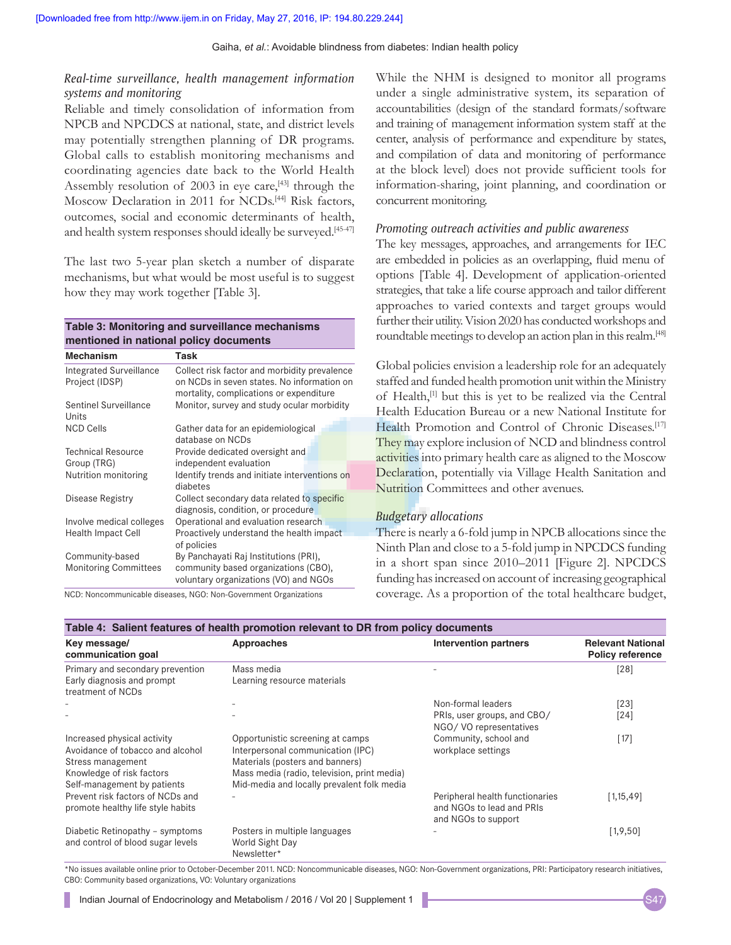### *Real‑time surveillance, health management information systems and monitoring*

Reliable and timely consolidation of information from NPCB and NPCDCS at national, state, and district levels may potentially strengthen planning of DR programs. Global calls to establish monitoring mechanisms and coordinating agencies date back to the World Health Assembly resolution of  $2003$  in eye care,<sup>[43]</sup> through the Moscow Declaration in 2011 for NCDs.<sup>[44]</sup> Risk factors, outcomes, social and economic determinants of health, and health system responses should ideally be surveyed.<sup>[45-47]</sup>

The last two 5-year plan sketch a number of disparate mechanisms, but what would be most useful is to suggest how they may work together [Table 3].

#### **Table 3: Monitoring and surveillance mechanisms mentioned in national policy documents**

| <b>Mechanism</b>                                 | Task                                                                                                                                  |  |  |
|--------------------------------------------------|---------------------------------------------------------------------------------------------------------------------------------------|--|--|
| <b>Integrated Surveillance</b><br>Project (IDSP) | Collect risk factor and morbidity prevalence<br>on NCDs in seven states. No information on<br>mortality, complications or expenditure |  |  |
| Sentinel Surveillance<br>Units                   | Monitor, survey and study ocular morbidity                                                                                            |  |  |
| <b>NCD Cells</b>                                 | Gather data for an epidemiological<br>database on NCDs                                                                                |  |  |
| <b>Technical Resource</b>                        | Provide dedicated oversight and                                                                                                       |  |  |
| Group (TRG)                                      | independent evaluation                                                                                                                |  |  |
| Nutrition monitoring                             | Identify trends and initiate interventions on<br>diabetes                                                                             |  |  |
| Disease Registry                                 | Collect secondary data related to specific<br>diagnosis, condition, or procedure                                                      |  |  |
| Involve medical colleges                         | Operational and evaluation research                                                                                                   |  |  |
| <b>Health Impact Cell</b>                        | Proactively understand the health impact                                                                                              |  |  |
|                                                  | of policies                                                                                                                           |  |  |
| Community-based<br><b>Monitoring Committees</b>  | By Panchayati Raj Institutions (PRI),<br>community based organizations (CBO),<br>voluntary organizations (VO) and NGOs                |  |  |

NCD: Noncommunicable diseases, NGO: Non-Government Organizations

While the NHM is designed to monitor all programs under a single administrative system, its separation of accountabilities (design of the standard formats/software and training of management information system staff at the center, analysis of performance and expenditure by states, and compilation of data and monitoring of performance at the block level) does not provide sufficient tools for information-sharing, joint planning, and coordination or concurrent monitoring.

#### *Promoting outreach activities and public awareness*

The key messages, approaches, and arrangements for IEC are embedded in policies as an overlapping, fluid menu of options [Table 4]. Development of application-oriented strategies, that take a life course approach and tailor different approaches to varied contexts and target groups would further their utility. Vision 2020 has conducted workshops and roundtable meetings to develop an action plan in this realm.[48]

Global policies envision a leadership role for an adequately staffed and funded health promotion unit within the Ministry of Health,[1] but this is yet to be realized via the Central Health Education Bureau or a new National Institute for Health Promotion and Control of Chronic Diseases.<sup>[17]</sup> They may explore inclusion of NCD and blindness control activities into primary health care as aligned to the Moscow Declaration, potentially via Village Health Sanitation and Nutrition Committees and other avenues.

#### *Budgetary allocations*

There is nearly a 6-fold jump in NPCB allocations since the Ninth Plan and close to a 5-fold jump in NPCDCS funding in a short span since 2010–2011 [Figure 2]. NPCDCS funding has increased on account of increasing geographical coverage. As a proportion of the total healthcare budget,

| Key message/                                                          | Approaches                                                      | Intervention partners                                                               | <b>Relevant National</b> |  |
|-----------------------------------------------------------------------|-----------------------------------------------------------------|-------------------------------------------------------------------------------------|--------------------------|--|
| communication goal                                                    |                                                                 |                                                                                     | <b>Policy reference</b>  |  |
| Primary and secondary prevention                                      | Mass media                                                      |                                                                                     | $[28]$                   |  |
| Early diagnosis and prompt<br>treatment of NCDs                       | Learning resource materials                                     |                                                                                     |                          |  |
|                                                                       |                                                                 | Non-formal leaders                                                                  | [23]                     |  |
|                                                                       |                                                                 | PRIs, user groups, and CBO/<br>NGO/VO representatives                               | $[24]$                   |  |
| Increased physical activity                                           | Opportunistic screening at camps                                | Community, school and                                                               | [17]                     |  |
| Avoidance of tobacco and alcohol                                      | Interpersonal communication (IPC)                               | workplace settings                                                                  |                          |  |
| Stress management                                                     | Materials (posters and banners)                                 |                                                                                     |                          |  |
| Knowledge of risk factors                                             | Mass media (radio, television, print media)                     |                                                                                     |                          |  |
| Self-management by patients                                           | Mid-media and locally prevalent folk media                      |                                                                                     |                          |  |
| Prevent risk factors of NCDs and<br>promote healthy life style habits |                                                                 | Peripheral health functionaries<br>and NGOs to lead and PRIs<br>and NGOs to support | 1,15,49                  |  |
| Diabetic Retinopathy - symptoms<br>and control of blood sugar levels  | Posters in multiple languages<br>World Sight Day<br>Newsletter* |                                                                                     | [1, 9, 50]               |  |

\*No issues available online prior to October-December 2011. NCD: Noncommunicable diseases, NGO: Non-Government organizations, PRI: Participatory research initiatives, CBO: Community based organizations, VO: Voluntary organizations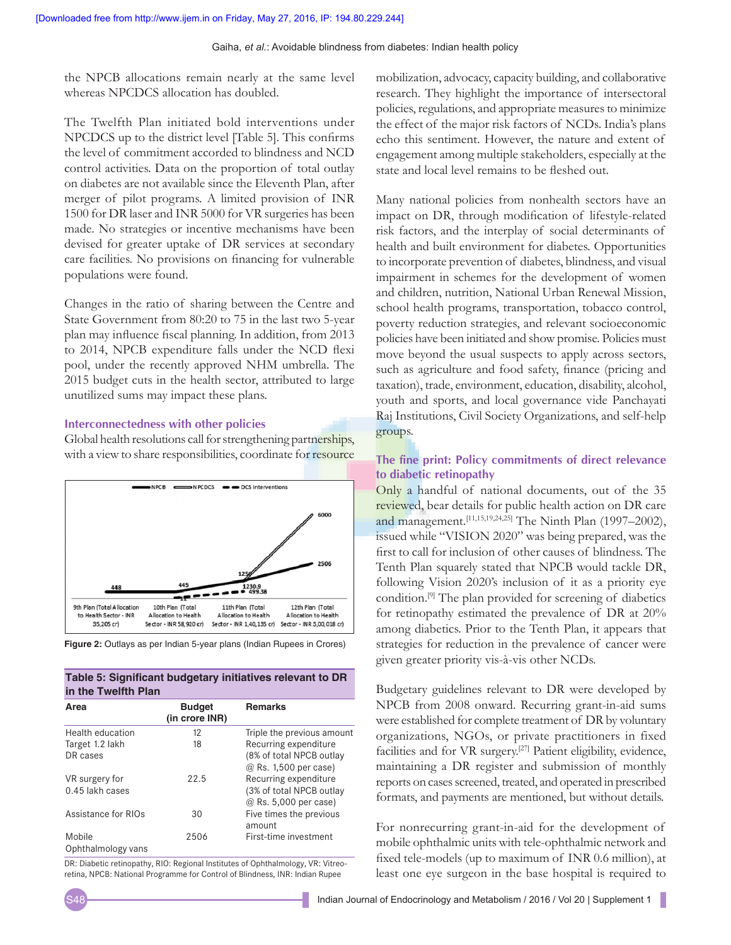the NPCB allocations remain nearly at the same level whereas NPCDCS allocation has doubled.

The Twelfth Plan initiated bold interventions under NPCDCS up to the district level [Table 5]. This confirms the level of commitment accorded to blindness and NCD control activities. Data on the proportion of total outlay on diabetes are not available since the Eleventh Plan, after merger of pilot programs. A limited provision of INR 1500 for DR laser and INR 5000 for VR surgeries has been made. No strategies or incentive mechanisms have been devised for greater uptake of DR services at secondary care facilities. No provisions on financing for vulnerable populations were found.

Changes in the ratio of sharing between the Centre and State Government from 80:20 to 75 in the last two 5-year plan may influence fiscal planning. In addition, from 2013 to 2014, NPCB expenditure falls under the NCD flexi pool, under the recently approved NHM umbrella. The 2015 budget cuts in the health sector, attributed to large unutilized sums may impact these plans.

#### **Interconnectedness with other policies**

Global health resolutions call for strengthening partnerships, with a view to share responsibilities, coordinate for resource



**Figure 2:** Outlays as per Indian 5‑year plans (Indian Rupees in Crores)

| Table 5: Significant budgetary initiatives relevant to DR |  |
|-----------------------------------------------------------|--|
| in the Twelfth Plan                                       |  |

| Area                | <b>Budget</b><br>(in crore INR) | <b>Remarks</b>             |
|---------------------|---------------------------------|----------------------------|
| Health education    | 12                              | Triple the previous amount |
| Target 1.2 lakh     | 18                              | Recurring expenditure      |
| DR cases            |                                 | (8% of total NPCB outlay   |
|                     |                                 | @ Rs. 1,500 per case)      |
| VR surgery for      | 22.5                            | Recurring expenditure      |
| 0.45 lakh cases     |                                 | (3% of total NPCB outlay   |
|                     |                                 | @ Rs. 5,000 per case)      |
| Assistance for RIOs | 30                              | Five times the previous    |
|                     |                                 | amount                     |
| Mobile              | 2506                            | First-time investment      |
| Ophthalmology vans  |                                 |                            |

DR: Diabetic retinopathy, RIO: Regional Institutes of Ophthalmology, VR: Vitreoretina, NPCB: National Programme for Control of Blindness, INR: Indian Rupee

mobilization, advocacy, capacity building, and collaborative research. They highlight the importance of intersectoral policies, regulations, and appropriate measures to minimize the effect of the major risk factors of NCDs. India's plans echo this sentiment. However, the nature and extent of engagement among multiple stakeholders, especially at the state and local level remains to be fleshed out.

Many national policies from nonhealth sectors have an impact on DR, through modification of lifestyle-related risk factors, and the interplay of social determinants of health and built environment for diabetes. Opportunities to incorporate prevention of diabetes, blindness, and visual impairment in schemes for the development of women and children, nutrition, National Urban Renewal Mission, school health programs, transportation, tobacco control, poverty reduction strategies, and relevant socioeconomic policies have been initiated and show promise. Policies must move beyond the usual suspects to apply across sectors, such as agriculture and food safety, finance (pricing and taxation), trade, environment, education, disability, alcohol, youth and sports, and local governance vide Panchayati Raj Institutions, Civil Society Organizations, and self-help groups.

## **The fine print: Policy commitments of direct relevance to diabetic retinopathy**

Only a handful of national documents, out of the 35 reviewed, bear details for public health action on DR care and management.<sup>[11,15,19,24,25]</sup> The Ninth Plan (1997–2002), issued while "VISION 2020" was being prepared, was the first to call for inclusion of other causes of blindness. The Tenth Plan squarely stated that NPCB would tackle DR, following Vision 2020's inclusion of it as a priority eye condition.[9] The plan provided for screening of diabetics for retinopathy estimated the prevalence of DR at 20% among diabetics. Prior to the Tenth Plan, it appears that strategies for reduction in the prevalence of cancer were given greater priority vis-à-vis other NCDs.

Budgetary guidelines relevant to DR were developed by NPCB from 2008 onward. Recurring grant-in-aid sums were established for complete treatment of DR by voluntary organizations, NGOs, or private practitioners in fixed facilities and for VR surgery.[27] Patient eligibility, evidence, maintaining a DR register and submission of monthly reports on cases screened, treated, and operated in prescribed formats, and payments are mentioned, but without details.

For nonrecurring grant-in-aid for the development of mobile ophthalmic units with tele-ophthalmic network and fixed tele‑models (up to maximum of INR 0.6 million), at least one eye surgeon in the base hospital is required to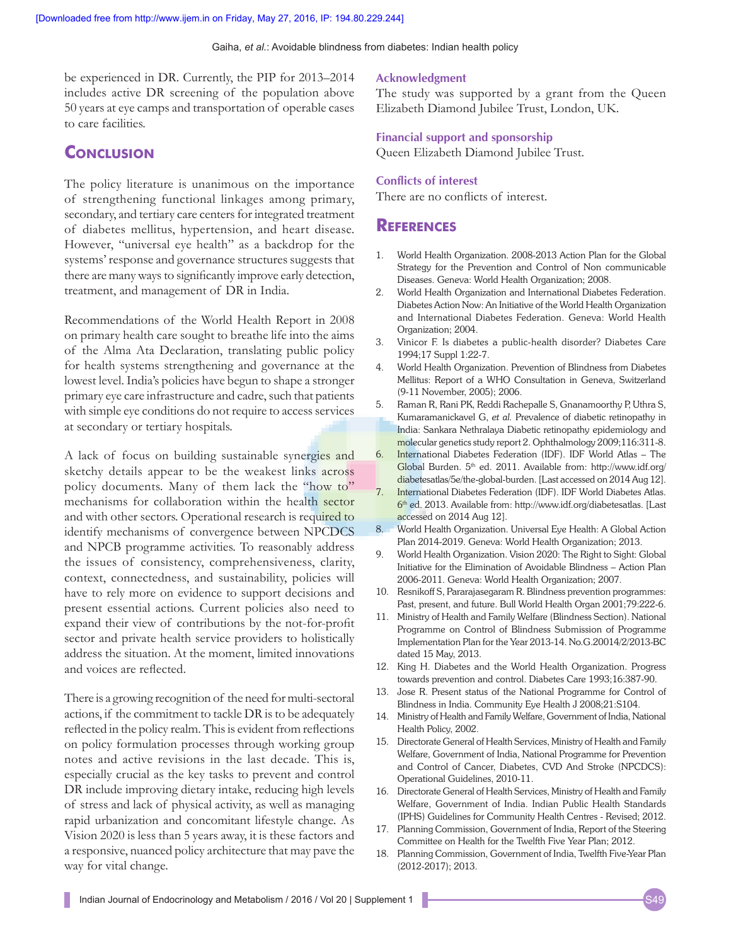be experienced in DR. Currently, the PIP for 2013–2014 includes active DR screening of the population above 50 years at eye camps and transportation of operable cases to care facilities.

# **CONCLUSION**

The policy literature is unanimous on the importance of strengthening functional linkages among primary, secondary, and tertiary care centers for integrated treatment of diabetes mellitus, hypertension, and heart disease. However, "universal eye health" as a backdrop for the systems' response and governance structures suggests that there are many ways to significantly improve early detection, treatment, and management of DR in India.

Recommendations of the World Health Report in 2008 on primary health care sought to breathe life into the aims of the Alma Ata Declaration, translating public policy for health systems strengthening and governance at the lowest level. India's policies have begun to shape a stronger primary eye care infrastructure and cadre, such that patients with simple eye conditions do not require to access services at secondary or tertiary hospitals.

A lack of focus on building sustainable synergies and sketchy details appear to be the weakest links across policy documents. Many of them lack the "how to" mechanisms for collaboration within the health sector and with other sectors. Operational research is required to identify mechanisms of convergence between NPCDCS and NPCB programme activities. To reasonably address the issues of consistency, comprehensiveness, clarity, context, connectedness, and sustainability, policies will have to rely more on evidence to support decisions and present essential actions. Current policies also need to expand their view of contributions by the not-for-profit sector and private health service providers to holistically address the situation. At the moment, limited innovations and voices are reflected.

There is a growing recognition of the need for multi-sectoral actions, if the commitment to tackle DR is to be adequately reflected in the policy realm. This is evident from reflections on policy formulation processes through working group notes and active revisions in the last decade. This is, especially crucial as the key tasks to prevent and control DR include improving dietary intake, reducing high levels of stress and lack of physical activity, as well as managing rapid urbanization and concomitant lifestyle change. As Vision 2020 is less than 5 years away, it is these factors and a responsive, nuanced policy architecture that may pave the way for vital change.

#### **Acknowledgment**

The study was supported by a grant from the Queen Elizabeth Diamond Jubilee Trust, London, UK.

#### **Financial support and sponsorship**

Queen Elizabeth Diamond Jubilee Trust.

#### **Conflicts of interest**

There are no conflicts of interest.

## **References**

- 1. World Health Organization. 2008-2013 Action Plan for the Global Strategy for the Prevention and Control of Non communicable Diseases. Geneva: World Health Organization; 2008.
- 2. World Health Organization and International Diabetes Federation. Diabetes Action Now: An Initiative of the World Health Organization and International Diabetes Federation. Geneva: World Health Organization; 2004.
- 3. Vinicor F. Is diabetes a public-health disorder? Diabetes Care 1994;17 Suppl 1:22-7.
- 4. World Health Organization. Prevention of Blindness from Diabetes Mellitus: Report of a WHO Consultation in Geneva, Switzerland (9-11 November, 2005); 2006.
- 5. Raman R, Rani PK, Reddi Rachepalle S, Gnanamoorthy P, Uthra S, Kumaramanickavel G, *et al.* Prevalence of diabetic retinopathy in India: Sankara Nethralaya Diabetic retinopathy epidemiology and molecular genetics study report 2. Ophthalmology 2009;116:311-8.
- 6. International Diabetes Federation (IDF). IDF World Atlas The Global Burden. 5<sup>th</sup> ed. 2011. Available from: http://www.idf.org/ diabetesatlas/5e/the-global-burden. [Last accessed on 2014 Aug 12].
- 7. International Diabetes Federation (IDF). IDF World Diabetes Atlas.  $6<sup>th</sup>$  ed. 2013. Available from: http://www.idf.org/diabetesatlas. [Last accessed on 2014 Aug 12].
- 8. World Health Organization. Universal Eye Health: A Global Action Plan 2014-2019. Geneva: World Health Organization; 2013.
- 9. World Health Organization. Vision 2020: The Right to Sight: Global Initiative for the Elimination of Avoidable Blindness – Action Plan 2006-2011. Geneva: World Health Organization; 2007.
- 10. Resnikoff S, Pararajasegaram R. Blindness prevention programmes: Past, present, and future. Bull World Health Organ 2001;79:222-6.
- 11. Ministry of Health and Family Welfare (Blindness Section). National Programme on Control of Blindness Submission of Programme Implementation Plan for the Year 2013-14. No.G.20014/2/2013-BC dated 15 May, 2013.
- 12. King H. Diabetes and the World Health Organization. Progress towards prevention and control. Diabetes Care 1993;16:387-90.
- 13. Jose R. Present status of the National Programme for Control of Blindness in India. Community Eye Health J 2008;21:S104.
- 14. Ministry of Health and Family Welfare, Government of India, National Health Policy, 2002.
- 15. Directorate General of Health Services, Ministry of Health and Family Welfare, Government of India, National Programme for Prevention and Control of Cancer, Diabetes, CVD And Stroke (NPCDCS): Operational Guidelines, 2010-11.
- 16. Directorate General of Health Services, Ministry of Health and Family Welfare, Government of India. Indian Public Health Standards (IPHS) Guidelines for Community Health Centres - Revised; 2012.
- 17. Planning Commission, Government of India, Report of the Steering Committee on Health for the Twelfth Five Year Plan; 2012.
- 18. Planning Commission, Government of India, Twelfth Five-Year Plan (2012-2017); 2013.